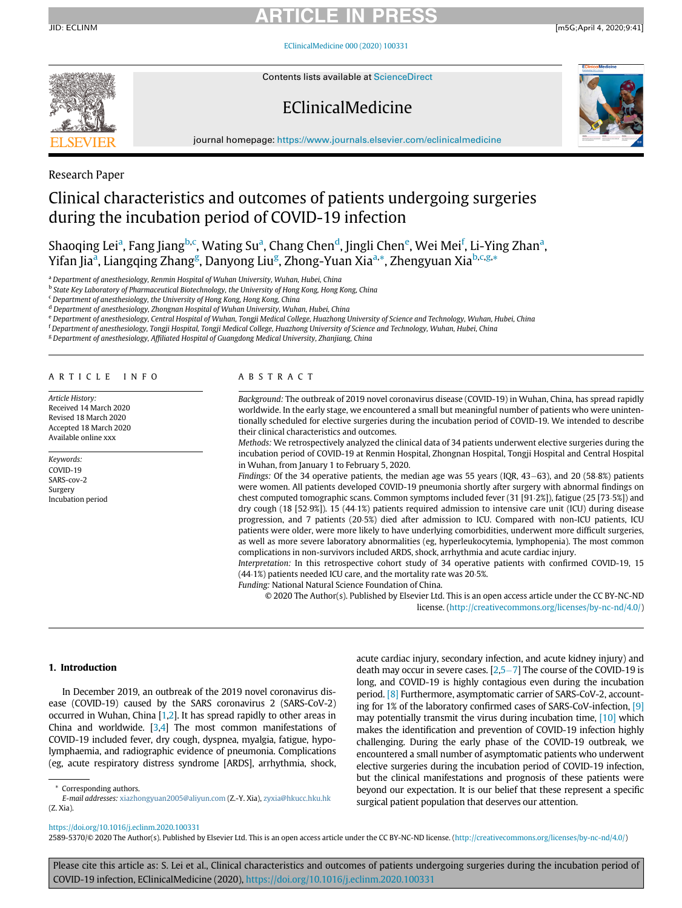JID: ECLINM [m5G;April 4, 2020;9:41]

[EClinicalMedicine 000 \(2020\) 100331](https://doi.org/10.1016/j.eclinm.2020.100331)



Contents lists available at [ScienceDirect](http://www.ScienceDirect.com)

## EClinicalMedicine



journal homepage: [https://www.journals.elsevier.com/eclinicalmedicine](http://https://www.journals.elsevier.com/eclinicalmedicine)

### Research Paper

### Clinical characteristics and outcomes of patients undergoing surgeries during the incubation period of COVID-19 infection

Shaoqing Lei<sup>a</sup>, Fang J[ia](#page-0-0)ng<sup>[b,](#page-0-1)[c](#page-0-2)</sup>, Wating Su<sup>a</sup>, Chang Chen<sup>[d](#page-0-3)</sup>, Jingli Ch[e](#page-0-4)n<sup>e</sup>, Wei Mei<sup>[f](#page-0-5)</sup>, Li-Ying Zh[a](#page-0-0)n<sup>a</sup>, Yif[a](#page-0-0)n Jia<sup>a</sup>, Lian[g](#page-0-6)qing Zhang<sup>g</sup>, Danyong Liu<sup>g</sup>, Zhong-Yuan Xia<sup>[a,](#page-0-0)</sup>[\\*,](#page-0-7) Zhengyuan Xia<sup>[b](#page-0-1),[c,](#page-0-2)[g,](#page-0-6)</sup>[\\*](#page-0-7)

<span id="page-0-0"></span>a Department of anesthesiology, Renmin Hospital of Wuhan University, Wuhan, Hubei, China

<span id="page-0-1"></span><sup>b</sup> State Key Laboratory of Pharmaceutical Biotechnology, the University of Hong Kong, Hong Kong, China

<span id="page-0-2"></span><sup>c</sup> Department of anesthesiology, the University of Hong Kong, Hong Kong, China

<span id="page-0-3"></span>d Department of anesthesiology, Zhongnan Hospital of Wuhan University, Wuhan, Hubei, China

<span id="page-0-4"></span>e Department of anesthesiology, Central Hospital of Wuhan, Tongji Medical College, Huazhong University of Science and Technology, Wuhan, Hubei, China

<span id="page-0-5"></span><sup>f</sup> Department of anesthesiology, Tongji Hospital, Tongji Medical College, Huazhong University of Science and Technology, Wuhan, Hubei, China

<span id="page-0-6"></span><sup>g</sup> Department of anesthesiology, Affiliated Hospital of Guangdong Medical University, Zhanjiang, China

#### ARTICLE INFO

Article History: Received 14 March 2020 Revised 18 March 2020 Accepted 18 March 2020 Available online xxx

Keywords: COVID-19 SARS-cov-2 Surgery Incubation period

### ABSTRACT

Background: The outbreak of 2019 novel coronavirus disease (COVID-19) in Wuhan, China, has spread rapidly worldwide. In the early stage, we encountered a small but meaningful number of patients who were unintentionally scheduled for elective surgeries during the incubation period of COVID-19. We intended to describe their clinical characteristics and outcomes.

Methods: We retrospectively analyzed the clinical data of 34 patients underwent elective surgeries during the incubation period of COVID-19 at Renmin Hospital, Zhongnan Hospital, Tongji Hospital and Central Hospital in Wuhan, from January 1 to February 5, 2020.

Findings: Of the 34 operative patients, the median age was 55 years (IQR,  $43-63$ ), and 20 (58.8%) patients were women. All patients developed COVID-19 pneumonia shortly after surgery with abnormal findings on chest computed tomographic scans. Common symptoms included fever  $(31 [91.2%)$ , fatigue  $(25 [73.5%)$ ) and dry cough (18 [52.9%]). 15 (44.1%) patients required admission to intensive care unit (ICU) during disease progression, and 7 patients (20.5%) died after admission to ICU. Compared with non-ICU patients, ICU patients were older, were more likely to have underlying comorbidities, underwent more difficult surgeries, as well as more severe laboratory abnormalities (eg, hyperleukocytemia, lymphopenia). The most common complications in non-survivors included ARDS, shock, arrhythmia and acute cardiac injury.

Interpretation: In this retrospective cohort study of 34 operative patients with confirmed COVID-19, 15  $(44.1%)$  patients needed ICU care, and the mortality rate was 20.5%.

Funding: National Natural Science Foundation of China.

© 2020 The Author(s). Published by Elsevier Ltd. This is an open access article under the CC BY-NC-ND license. ([http://creativecommons.org/licenses/by-nc-nd/4.0/\)](http://creativecommons.org/licenses/by-nc-nd/4.0/)

### 1. Introduction

In December 2019, an outbreak of the 2019 novel coronavirus disease (COVID-19) caused by the SARS coronavirus 2 (SARS-CoV-2) occurred in Wuhan, China [\[1](#page-6-0)[,2\]](#page-6-1). It has spread rapidly to other areas in China and worldwide. [\[3](#page-6-2)[,4\]](#page-6-3) The most common manifestations of COVID-19 included fever, dry cough, dyspnea, myalgia, fatigue, hypolymphaemia, and radiographic evidence of pneumonia. Complications (eg, acute respiratory distress syndrome [ARDS], arrhythmia, shock, acute cardiac injury, secondary infection, and acute kidney injury) and death may occur in severe cases.  $[2,5-7]$  $[2,5-7]$  $[2,5-7]$  $[2,5-7]$  $[2,5-7]$  The course of the COVID-19 is long, and COVID-19 is highly contagious even during the incubation period. [\[8\]](#page-6-5) Furthermore, asymptomatic carrier of SARS-CoV-2, accounting for 1% of the laboratory confirmed cases of SARS-CoV-infection, [\[9\]](#page-6-6) may potentially transmit the virus during incubation time, [\[10\]](#page-6-7) which makes the identification and prevention of COVID-19 infection highly challenging. During the early phase of the COVID-19 outbreak, we encountered a small number of asymptomatic patients who underwent elective surgeries during the incubation period of COVID-19 infection, but the clinical manifestations and prognosis of these patients were beyond our expectation. It is our belief that these represent a specific surgical patient population that deserves our attention.

Corresponding authors.

<span id="page-0-7"></span>E-mail addresses: [xiazhongyuan2005@aliyun.com](mailto:xiazhongyuan2005@aliyun.com) (Z.-Y. Xia), [zyxia@hkucc.hku.hk](mailto:zyxia@hkucc.hku.hk) (Z. Xia).

<https://doi.org/10.1016/j.eclinm.2020.100331>

<sup>2589-5370/© 2020</sup> The Author(s). Published by Elsevier Ltd. This is an open access article under the CC BY-NC-ND license. [\(http://creativecommons.org/licenses/by-nc-nd/4.0/](http://creativecommons.org/licenses/by-nc-nd/4.0/))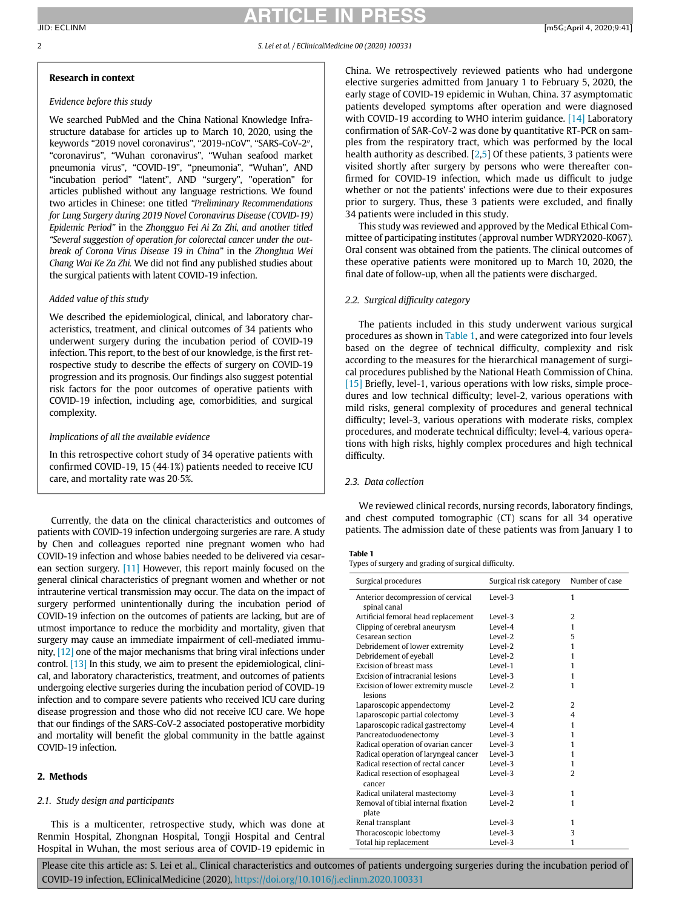### **CLE**

### 2 S. Lei et al. / EClinicalMedicine 00 (2020) 100331

### Research in context

### Evidence before this study

We searched PubMed and the China National Knowledge Infrastructure database for articles up to March 10, 2020, using the keywords "2019 novel coronavirus", "2019-nCoV", "SARS-CoV-2", "coronavirus", "Wuhan coronavirus", "Wuhan seafood market pneumonia virus", "COVID-19", "pneumonia", "Wuhan", AND "incubation period" "latent", AND "surgery", "operation" for articles published without any language restrictions. We found two articles in Chinese: one titled "Preliminary Recommendations for Lung Surgery during 2019 Novel Coronavirus Disease (COVID-19) Epidemic Period" in the Zhongguo Fei Ai Za Zhi, and another titled "Several suggestion of operation for colorectal cancer under the outbreak of Corona Virus Disease 19 in China" in the Zhonghua Wei Chang Wai Ke Za Zhi. We did not find any published studies about the surgical patients with latent COVID-19 infection.

### Added value of this study

We described the epidemiological, clinical, and laboratory characteristics, treatment, and clinical outcomes of 34 patients who underwent surgery during the incubation period of COVID-19 infection. This report, to the best of our knowledge, is the first retrospective study to describe the effects of surgery on COVID-19 progression and its prognosis. Our findings also suggest potential risk factors for the poor outcomes of operative patients with COVID-19 infection, including age, comorbidities, and surgical complexity.

### Implications of all the available evidence

In this retrospective cohort study of 34 operative patients with confirmed COVID-19, 15  $(44.1%)$  patients needed to receive ICU care, and mortality rate was 20.5%.

<span id="page-1-0"></span>Currently, the data on the clinical characteristics and outcomes of patients with COVID-19 infection undergoing surgeries are rare. A study by Chen and colleagues reported nine pregnant women who had COVID-19 infection and whose babies needed to be delivered via cesarean section surgery. [\[11\]](#page-6-8) However, this report mainly focused on the general clinical characteristics of pregnant women and whether or not intrauterine vertical transmission may occur. The data on the impact of surgery performed unintentionally during the incubation period of COVID-19 infection on the outcomes of patients are lacking, but are of utmost importance to reduce the morbidity and mortality, given that surgery may cause an immediate impairment of cell-mediated immunity, [\[12\]](#page-7-0) one of the major mechanisms that bring viral infections under control. [\[13\]](#page-7-1) In this study, we aim to present the epidemiological, clinical, and laboratory characteristics, treatment, and outcomes of patients undergoing elective surgeries during the incubation period of COVID-19 infection and to compare severe patients who received ICU care during disease progression and those who did not receive ICU care. We hope that our findings of the SARS-CoV-2 associated postoperative morbidity and mortality will benefit the global community in the battle against COVID-19 infection.

### 2. Methods

### 2.1. Study design and participants

This is a multicenter, retrospective study, which was done at Renmin Hospital, Zhongnan Hospital, Tongji Hospital and Central Hospital in Wuhan, the most serious area of COVID-19 epidemic in China. We retrospectively reviewed patients who had undergone elective surgeries admitted from January 1 to February 5, 2020, the early stage of COVID-19 epidemic in Wuhan, China. 37 asymptomatic patients developed symptoms after operation and were diagnosed with COVID-19 according to WHO interim guidance. [\[14\]](#page-7-2) Laboratory confirmation of SAR-CoV-2 was done by quantitative RT-PCR on samples from the respiratory tract, which was performed by the local health authority as described. [[2](#page-6-1)[,5\]](#page-6-4) Of these patients, 3 patients were visited shortly after surgery by persons who were thereafter confirmed for COVID-19 infection, which made us difficult to judge whether or not the patients' infections were due to their exposures prior to surgery. Thus, these 3 patients were excluded, and finally 34 patients were included in this study.

This study was reviewed and approved by the Medical Ethical Committee of participating institutes (approval number WDRY2020-K067). Oral consent was obtained from the patients. The clinical outcomes of these operative patients were monitored up to March 10, 2020, the final date of follow-up, when all the patients were discharged.

### 2.2. Surgical difficulty category

The patients included in this study underwent various surgical procedures as shown in [Table 1](#page-1-0), and were categorized into four levels based on the degree of technical difficulty, complexity and risk according to the measures for the hierarchical management of surgical procedures published by the National Heath Commission of China. [\[15\]](#page-7-3) Briefly, level-1, various operations with low risks, simple procedures and low technical difficulty; level-2, various operations with mild risks, general complexity of procedures and general technical difficulty; level-3, various operations with moderate risks, complex procedures, and moderate technical difficulty; level-4, various operations with high risks, highly complex procedures and high technical difficulty.

### 2.3. Data collection

We reviewed clinical records, nursing records, laboratory findings, and chest computed tomographic (CT) scans for all 34 operative patients. The admission date of these patients was from January 1 to

### Table 1

Types of surgery and grading of surgical difficulty.

| Surgical procedures                                | Surgical risk category | Number of case |
|----------------------------------------------------|------------------------|----------------|
| Anterior decompression of cervical<br>spinal canal | Level-3                | 1              |
| Artificial femoral head replacement                | Level-3                | 2              |
|                                                    | Level-4                | 1              |
| Clipping of cerebral aneurysm                      |                        |                |
| Cesarean section                                   | Level-2                | 5              |
| Debridement of lower extremity                     | Level-2                | 1              |
| Debridement of eyeball                             | Level-2                | 1              |
| <b>Excision of breast mass</b>                     | Level-1                | 1              |
| Excision of intracranial lesions                   | Level-3                | 1              |
| Excision of lower extremity muscle                 | Level-2                | 1              |
| lesions                                            |                        |                |
| Laparoscopic appendectomy                          | Level-2                | $\overline{2}$ |
| Laparoscopic partial colectomy                     | Level-3                | 4              |
| Laparoscopic radical gastrectomy                   | Level-4                | 1              |
| Pancreatoduodenectomy                              | Level-3                | 1              |
| Radical operation of ovarian cancer                | Level-3                | 1              |
| Radical operation of laryngeal cancer              | Level-3                | 1              |
| Radical resection of rectal cancer                 | Level-3                | 1              |
| Radical resection of esophageal<br>cancer          | Level-3                | $\overline{2}$ |
| Radical unilateral mastectomy                      | Level-3                | 1              |
| Removal of tibial internal fixation                | Level-2                | 1              |
| plate                                              |                        |                |
| Renal transplant                                   | Level-3                | 1              |
| Thoracoscopic lobectomy                            | Level-3                | 3              |
| Total hip replacement                              | Level-3                | 1              |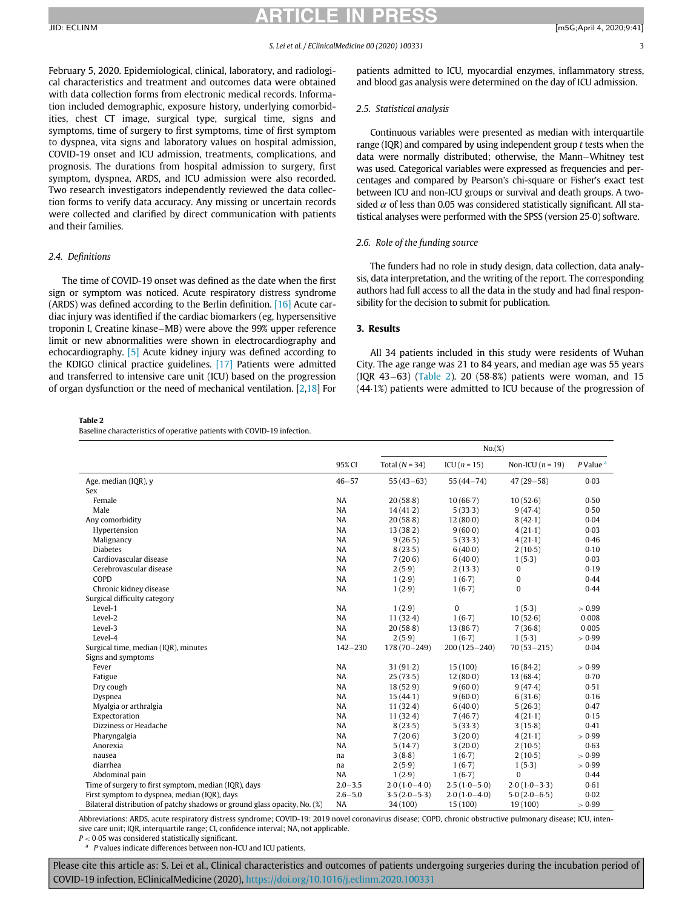February 5, 2020. Epidemiological, clinical, laboratory, and radiological characteristics and treatment and outcomes data were obtained with data collection forms from electronic medical records. Information included demographic, exposure history, underlying comorbidities, chest CT image, surgical type, surgical time, signs and symptoms, time of surgery to first symptoms, time of first symptom to dyspnea, vita signs and laboratory values on hospital admission, COVID-19 onset and ICU admission, treatments, complications, and prognosis. The durations from hospital admission to surgery, first symptom, dyspnea, ARDS, and ICU admission were also recorded. Two research investigators independently reviewed the data collection forms to verify data accuracy. Any missing or uncertain records were collected and clarified by direct communication with patients and their families.

### 2.4. Definitions

The time of COVID-19 onset was defined as the date when the first sign or symptom was noticed. Acute respiratory distress syndrome (ARDS) was defined according to the Berlin definition. [\[16\]](#page-7-4) Acute cardiac injury was identified if the cardiac biomarkers (eg, hypersensitive troponin I, Creatine kinase–MB) were above the 99% upper reference limit or new abnormalities were shown in electrocardiography and echocardiography. [\[5\]](#page-6-4) Acute kidney injury was defined according to the KDIGO clinical practice guidelines. [\[17\]](#page-7-5) Patients were admitted and transferred to intensive care unit (ICU) based on the progression of organ dysfunction or the need of mechanical ventilation. [[2](#page-6-1),[18\]](#page-7-6) For

<span id="page-2-0"></span>Table 2

Baseline characteristics of operative patients with COVID-19 infection.

patients admitted to ICU, myocardial enzymes, inflammatory stress, and blood gas analysis were determined on the day of ICU admission.

### 2.5. Statistical analysis

Continuous variables were presented as median with interquartile range (IQR) and compared by using independent group  $t$  tests when the data were normally distributed; otherwise, the Mann-Whitney test was used. Categorical variables were expressed as frequencies and percentages and compared by Pearson's chi-square or Fisher's exact test between ICU and non-ICU groups or survival and death groups. A twosided  $\alpha$  of less than 0.05 was considered statistically significant. All statistical analyses were performed with the SPSS (version 25 $0$ ) software.

### 2.6. Role of the funding source

The funders had no role in study design, data collection, data analysis, data interpretation, and the writing of the report. The corresponding authors had full access to all the data in the study and had final responsibility for the decision to submit for publication.

### 3. Results

All 34 patients included in this study were residents of Wuhan City. The age range was 21 to 84 years, and median age was 55 years  $(1QR 43-63)$   $(Table 2)$  $(Table 2)$ . 20 (58 $8%$ ) patients were woman, and 15 (44.1%) patients were admitted to ICU because of the progression of

|                                                                           |             | No.(%)           |                  |                    |                        |  |
|---------------------------------------------------------------------------|-------------|------------------|------------------|--------------------|------------------------|--|
|                                                                           | 95% CI      | Total $(N = 34)$ | ICU $(n = 15)$   | Non-ICU $(n = 19)$ | $P$ Value <sup>a</sup> |  |
| Age, median (IQR), y                                                      | $46 - 57$   | $55(43-63)$      | $55(44 - 74)$    | $47(29 - 58)$      | 0.03                   |  |
| Sex                                                                       |             |                  |                  |                    |                        |  |
| Female                                                                    | <b>NA</b>   | 20(58.8)         | 10(66.7)         | 10(52.6)           | 0.50                   |  |
| Male                                                                      | NA          | 14(41.2)         | 5(33.3)          | 9(47.4)            | 0.50                   |  |
| Any comorbidity                                                           | <b>NA</b>   | 20(58.8)         | 12(80.0)         | 8(42.1)            | 0.04                   |  |
| Hypertension                                                              | <b>NA</b>   | 13(38.2)         | 9(60.0)          | 4(21.1)            | 0.03                   |  |
| Malignancy                                                                | NA          | 9(26.5)          | 5(33.3)          | 4(21.1)            | 0.46                   |  |
| <b>Diabetes</b>                                                           | <b>NA</b>   | 8(23.5)          | 6(40.0)          | 2(10.5)            | 0.10                   |  |
| Cardiovascular disease                                                    | <b>NA</b>   | 7(20.6)          | 6(40.0)          | 1(5.3)             | 0.03                   |  |
| Cerebrovascular disease                                                   | <b>NA</b>   | 2(5.9)           | 2(13.3)          | 0                  | 0.19                   |  |
| COPD                                                                      | <b>NA</b>   | 1(2.9)           | 1(6.7)           | 0                  | 0.44                   |  |
| Chronic kidney disease                                                    | <b>NA</b>   | 1(2.9)           | 1(6.7)           | $\bf{0}$           | 0.44                   |  |
| Surgical difficulty category                                              |             |                  |                  |                    |                        |  |
| Level-1                                                                   | <b>NA</b>   | 1(2.9)           | $\bf{0}$         | 1(5.3)             | > 0.99                 |  |
| Level-2                                                                   | <b>NA</b>   | 11(32.4)         | 1(6.7)           | 10(52.6)           | 0.008                  |  |
| Level-3                                                                   | NA          | 20(58.8)         | 13(86.7)         | 7(36.8)            | 0.005                  |  |
| Level-4                                                                   | <b>NA</b>   | 2(5.9)           | 1(6.7)           | 1(5.3)             | > 0.99                 |  |
| Surgical time, median (IQR), minutes                                      | $142 - 230$ | $178(70 - 249)$  | $200(125 - 240)$ | $70(53 - 215)$     | 0.04                   |  |
| Signs and symptoms                                                        |             |                  |                  |                    |                        |  |
| Fever                                                                     | <b>NA</b>   | 31(91.2)         | 15(100)          | 16(84.2)           | > 0.99                 |  |
| Fatigue                                                                   | <b>NA</b>   | 25(73.5)         | 12(80.0)         | 13(68.4)           | 0.70                   |  |
| Dry cough                                                                 | <b>NA</b>   | 18(52.9)         | 9(60.0)          | 9(47.4)            | 0.51                   |  |
| Dyspnea                                                                   | <b>NA</b>   | 15(44.1)         | 9(60.0)          | 6(31.6)            | 0.16                   |  |
| Myalgia or arthralgia                                                     | <b>NA</b>   | 11(32.4)         | 6(40.0)          | 5(26.3)            | 0.47                   |  |
| Expectoration                                                             | <b>NA</b>   | 11(32.4)         | 7(46.7)          | 4(21.1)            | 0.15                   |  |
| Dizziness or Headache                                                     | <b>NA</b>   | 8(23.5)          | 5(33.3)          | 3(15.8)            | 0.41                   |  |
| Pharyngalgia                                                              | <b>NA</b>   | 7(20.6)          | 3(20.0)          | 4(21.1)            | > 0.99                 |  |
| Anorexia                                                                  | <b>NA</b>   | 5(14.7)          | 3(20.0)          | 2(10.5)            | 0.63                   |  |
| nausea                                                                    | na          | 3(8.8)           | 1(6.7)           | 2(10.5)            | > 0.99                 |  |
| diarrhea                                                                  | na          | 2(5.9)           | 1(6.7)           | 1(5.3)             | > 0.99                 |  |
| Abdominal pain                                                            | <b>NA</b>   | 1(2.9)           | 1(6.7)           | $\bf{0}$           | 0.44                   |  |
| Time of surgery to first symptom, median (IQR), days                      | $2.0 - 3.5$ | $2.0(1.0-4.0)$   | $2.5(1.0-5.0)$   | $2.0(1.0-3.3)$     | 0.61                   |  |
| First symptom to dyspnea, median (IQR), days                              | $2.6 - 5.0$ | $3.5(2.0-5.3)$   | $2.0(1.0-4.0)$   | $5.0(2.0-6.5)$     | 0.02                   |  |
| Bilateral distribution of patchy shadows or ground glass opacity, No. (%) | NA          | 34 (100)         | 15(100)          | 19 (100)           | > 0.99                 |  |

Abbreviations: ARDS, acute respiratory distress syndrome; COVID-19: 2019 novel coronavirus disease; COPD, chronic obstructive pulmonary disease; ICU, intensive care unit; IQR, interquartile range; CI, confidence interval; NA, not applicable.

<span id="page-2-1"></span> $P < 0.05$  was considered statistically significant.<br><sup>a</sup> P values indicate differences between non-ICU and ICU patients.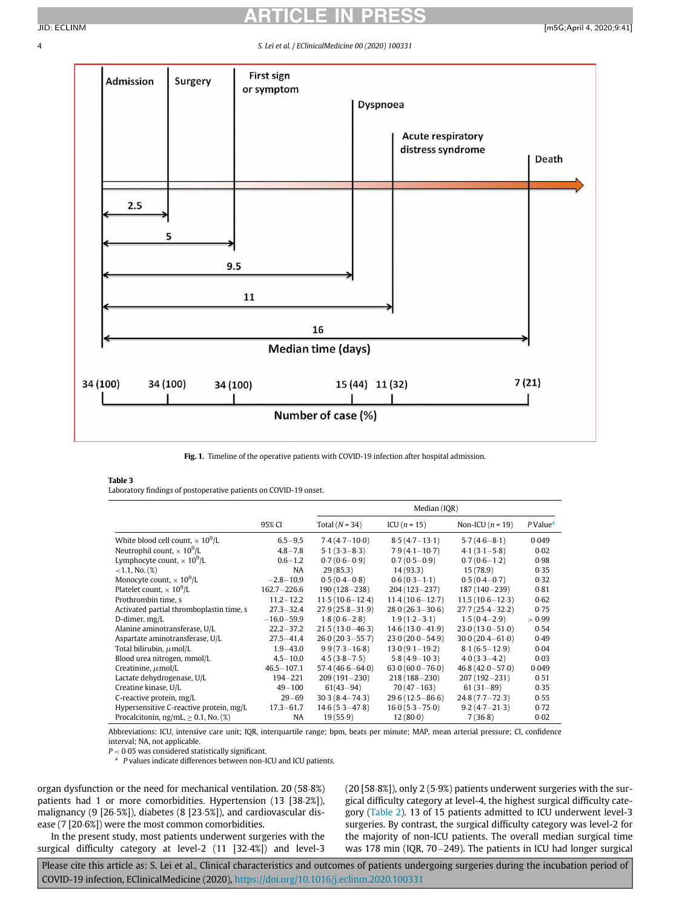<span id="page-3-1"></span>

Fig. 1. Timeline of the operative patients with COVID-19 infection after hospital admission.

### <span id="page-3-2"></span>Table 3

Laboratory findings of postoperative patients on COVID-19 onset.

|                                             |                 | Median (IQR)        |                     |                     |                      |  |
|---------------------------------------------|-----------------|---------------------|---------------------|---------------------|----------------------|--|
|                                             | 95% CI          | Total $(N = 34)$    | $ICU(n = 15)$       | Non-ICU $(n = 19)$  | P Value <sup>a</sup> |  |
| White blood cell count, $\times 10^9$ /L    | $6.5 - 9.5$     | $7.4(4.7-10.0)$     | $8.5(4.7 - 13.1)$   | $5.7(4.6 - 8.1)$    | 0.049                |  |
| Neutrophil count, $\times 10^9$ /L          | $4.8 - 7.8$     | $5.1(3.3 - 8.3)$    | $7.9(4.1 - 10.7)$   | $4.1(3.1 - 5.8)$    | 0.02                 |  |
| Lymphocyte count, $\times 10^9$ /L          | $0.6 - 1.2$     | $0.7(0.6-0.9)$      | $0.7(0.5-0.9)$      | $0.7(0.6-1.2)$      | 0.98                 |  |
| $<$ 1.1, No. $(\%)$                         | NA              | 29(85.3)            | 14 (93.3)           | 15(78.9)            | 0.35                 |  |
| Monocyte count, $\times 10^9$ /L            | $-2.8 - 10.9$   | $0.5(0.4-0.8)$      | $0.6(0.3-1.1)$      | $0.5(0.4-0.7)$      | 0.32                 |  |
| Platelet count, $\times$ 10 <sup>9</sup> /L | $162.7 - 226.6$ | $190(128 - 238)$    | $204(123 - 237)$    | $187(140 - 239)$    | 0.81                 |  |
| Prothrombin time, s                         | $11.2 - 12.2$   | $11.5(10.6 - 12.4)$ | $11.4(10.6 - 12.7)$ | $11.5(10.6-12.3)$   | 0.62                 |  |
| Activated partial thromboplastin time, s    | $27.3 - 32.4$   | $27.9(25.8 - 31.9)$ | $28.0(26.3 - 30.6)$ | $27.7(25.4 - 32.2)$ | 0.75                 |  |
| D-dimer, mg/L                               | $-16.0 - 59.9$  | $1.8(0.6 - 2.8)$    | $1.9(1.2 - 3.1)$    | $1.5(0.4 - 2.9)$    | > 0.99               |  |
| Alanine aminotransferase, U/L               | $22.2 - 37.2$   | $21.5(13.0 - 46.3)$ | $14.6(13.0 - 41.9)$ | $23.0(13.0 - 51.0)$ | 0.54                 |  |
| Aspartate aminotransferase, U/L             | $27.5 - 41.4$   | $26.0(20.3 - 55.7)$ | $23.0(20.0 - 54.9)$ | $30.0(20.4 - 61.0)$ | 0.49                 |  |
| Total bilirubin, $\mu$ mol/L                | $1.9 - 43.0$    | $9.9(7.3 - 16.8)$   | $13.0(9.1 - 19.2)$  | $8.1(6.5 - 12.9)$   | 0.04                 |  |
| Blood urea nitrogen, mmol/L                 | $4.5 - 10.0$    | $4.5(3.8 - 7.5)$    | $5.8(4.9 - 10.3)$   | $4.0(3.3 - 4.2)$    | 0.03                 |  |
| Creatinine, $\mu$ mol/L                     | $46.5 - 107.1$  | $57.4(46.6 - 64.0)$ | $63.0(60.0 - 76.0)$ | $46.8(42.0 - 57.0)$ | 0.049                |  |
| Lactate dehydrogenase, U/L                  | $194 - 221$     | $209(191 - 230)$    | $218(188 - 230)$    | $207(192 - 231)$    | 0.51                 |  |
| Creatine kinase, U/L                        | $49 - 100$      | $61(43-94)$         | $70(47 - 163)$      | $61(31-89)$         | 0.35                 |  |
| C-reactive protein, mg/L                    | $29 - 69$       | $30.3(8.4 - 74.3)$  | $29.6(12.5 - 86.6)$ | $24.8(7.7 - 72.3)$  | 0.55                 |  |
| Hypersensitive C-reactive protein, mg/L     | $17.3 - 61.7$   | $14.6(5.3 - 47.8)$  | $16.0(5.3 - 75.0)$  | $9.2(4.7 - 21.3)$   | 0.72                 |  |
| Procalcitonin, ng/mL, $\geq$ 0.1, No. (%)   | NA.             | 19(55.9)            | 12(80.0)            | 7(36.8)             | 0.02                 |  |

Abbreviations: ICU, intensive care unit; IQR, interquartile range; bpm, beats per minute; MAP, mean arterial pressure; CI, confidence interval; NA, not applicable.

 $P < 0.05$  was considered statistically significant.  $^{\rm a}$   $\,$  P values indicate differences between non-ICU and ICU patients.

<span id="page-3-0"></span>organ dysfunction or the need for mechanical ventilation. 20 (58.8%) patients had 1 or more comorbidities. Hypertension  $(13 [38.2\%])$ , malignancy (9 [26 $5\%$ ]), diabetes (8 [23 $5\%$ ]), and cardiovascular disease (7 [20 $6\%$ ]) were the most common comorbidities.

In the present study, most patients underwent surgeries with the surgical difficulty category at level-2 (11 [32.4%]) and level-3

 $(20 [58.8\%])$ , only 2 (5.9%) patients underwent surgeries with the surgical difficulty category at level-4, the highest surgical difficulty category ([Table 2](#page-2-0)). 13 of 15 patients admitted to ICU underwent level-3 surgeries. By contrast, the surgical difficulty category was level-2 for the majority of non-ICU patients. The overall median surgical time was 178 min (IQR, 70 $-249$ ). The patients in ICU had longer surgical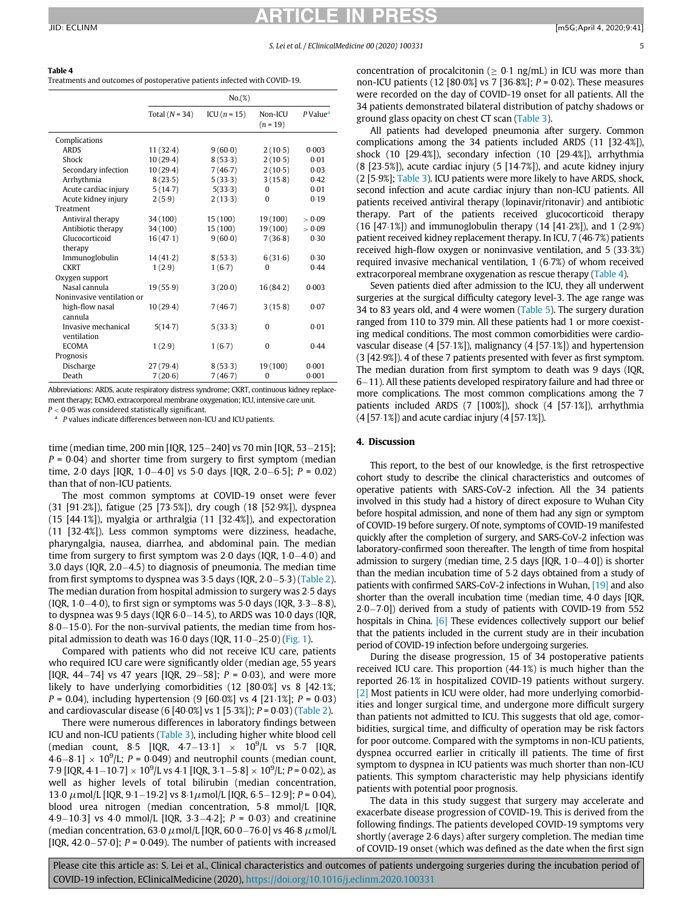<span id="page-4-0"></span>Treatments and outcomes of postoperative patients infected with COVID-19.

|                            | No.(%)           |               |                       |                      |
|----------------------------|------------------|---------------|-----------------------|----------------------|
|                            | Total $(N = 34)$ | $ICU(n = 15)$ | Non-ICU<br>$(n = 19)$ | P Value <sup>a</sup> |
| Complications              |                  |               |                       |                      |
| <b>ARDS</b>                | 11(32.4)         | 9(60.0)       | 2(10.5)               | 0.003                |
| Shock                      | 10(29.4)         | 8(53.3)       | 2(10.5)               | 0.01                 |
| Secondary infection        | 10(29.4)         | 7(46.7)       | 2(10.5)               | 0.03                 |
| Arrhythmia                 | 8(23.5)          | 5(33.3)       | 3(15.8)               | 0.42                 |
| Acute cardiac injury       | 5(14.7)          | 5(33.3)       | $\Omega$              | 0.01                 |
| Acute kidney injury        | 2(5.9)           | 2(13.3)       | $\theta$              | 0.19                 |
| Treatment                  |                  |               |                       |                      |
| Antiviral therapy          | 34 (100)         | 15 (100)      | 19 (100)              | > 0.09               |
| Antibiotic therapy         | 34 (100)         | 15(100)       | 19(100)               | > 0.09               |
| Glucocorticoid             | 16(47.1)         | 9(60.0)       | 7(36.8)               | 0.30                 |
| therapy                    |                  |               |                       |                      |
| Immunoglobulin             | 14(41.2)         | 8(53.3)       | 6(31.6)               | 0.30                 |
| <b>CKRT</b>                | 1(2.9)           | 1(6.7)        | $\Omega$              | 0.44                 |
| Oxygen support             |                  |               |                       |                      |
| Nasal cannula              | 19(55.9)         | 3(20.0)       | 16(84.2)              | 0.003                |
| Noninvasive ventilation or |                  |               |                       |                      |
| high-flow nasal            | 10(29.4)         | 7(46.7)       | 3(15.8)               | 0.07                 |
| cannula                    |                  |               |                       |                      |
| Invasive mechanical        | 5(14.7)          | 5(33.3)       | $\Omega$              | 0.01                 |
| ventilation                |                  |               |                       |                      |
| <b>ECOMA</b>               | 1(2.9)           | 1(6.7)        | 0                     | 0.44                 |
| Prognosis                  |                  |               |                       |                      |
| Discharge                  | 27(79.4)         | 8(53.3)       | 19 (100)              | 0.001                |
| Death                      | 7(20.6)          | 7(46.7)       | $\Omega$              | 0.001                |

Abbreviations: ARDS, acute respiratory distress syndrome; CKRT, continuous kidney replacement therapy; ECMO, extracorporeal membrane oxygenation; ICU, intensive care unit.

<span id="page-4-1"></span> $P < 0.05$  was considered statistically significant.<br>
<sup>a</sup> P values indicate differences between non-ICU and ICU patients.

time (median time, 200 min [IQR, 125-240] vs 70 min [IQR, 53-215];  $P = 0.04$ ) and shorter time from surgery to first symptom (median time, 2 $\cdot$ 0 days [IQR, 1 $\cdot$ 0 $-$ 4 $\cdot$ 0] vs 5 $\cdot$ 0 days [IQR, 2 $\cdot$ 0 $-$ 6 $\cdot$ 5]; P = 0.02) than that of non-ICU patients.

The most common symptoms at COVID-19 onset were fever (31 [91.2%]), fatigue (25 [73.5%]), dry cough (18 [52.9%]), dyspnea (15  $[44.1\%]$ ), myalgia or arthralgia (11  $[32.4\%]$ ), and expectoration (11 [32.4%]). Less common symptoms were dizziness, headache, pharyngalgia, nausea, diarrhea, and abdominal pain. The median time from surgery to first symptom was 2 $\cdot$ 0 days (IQR, 1 $\cdot$ 0 $-4\cdot$ 0) and 3.0 days (IQR,  $2.0-4.5$ ) to diagnosis of pneumonia. The median time from first symptoms to dyspnea was  $3·5$  days (IQR,  $2·0-5·3$ ) ([Table 2\)](#page-2-0). The median duration from hospital admission to surgery was 2.5 days (IQR,  $1·0-4·0$ ), to first sign or symptoms was 5 $·0$  days (IQR,  $3·3-8·8$ ), to dyspnea was  $9·5$  days (IQR  $6·0-14·5$ ), to ARDS was 10 $·0$  days (IQR,  $8·0-15·0$ ). For the non-survival patients, the median time from hospital admission to death was  $16·0$  days (IQR,  $11·0-25·0$ ) ([Fig. 1\)](#page-3-1).

Compared with patients who did not receive ICU care, patients who required ICU care were significantly older (median age, 55 years [IQR, 44-74] vs 47 years [IQR, 29-58];  $P = 0.03$ ), and were more likely to have underlying comorbidities  $(12 \, 80.0\%)$  vs 8  $[42.1\%$ ;  $P = 0.04$ ), including hypertension (9 [60 $\cdot$ 0%] vs 4 [21 $\cdot$ 1%]; P = 0 $\cdot$ 03) and cardiovascular disease (6  $[40.0\%]$  vs 1  $[5.3\%]$ ); P = 0.03) [\(Table 2](#page-2-0)).

There were numerous differences in laboratory findings between ICU and non-ICU patients ([Table 3](#page-3-2)), including higher white blood cell (median count, 8.5 [IQR, 4.7–13.1]  $\times$  10<sup>9</sup>/L vs 5.7 [IQR,  $(4.6-8.1] \times 10^9$ /L;  $P = 0.049$ ) and neutrophil counts (median count, 7.9 [IQR, 4.1–10.7]  $\times 10^9$ /L vs 4.1 [IQR, 3.1–5.8]  $\times 10^9$ /L; P = 0.02), as well as higher levels of total bilirubin (median concentration, 13⋅0  $\mu$ mol/L [IQR, 9⋅1−19⋅2] vs 8⋅1 $\mu$ mol/L [IQR, 6⋅5−12⋅9]; P = 0⋅04), blood urea nitrogen (median concentration, 5.8 mmol/L [IQR, 4.9–10.3] vs 4.0 mmol/L [IQR, 3.3–4.2];  $P = 0.03$  and creatinine (median concentration, 63 $\cdot$ 0  $\mu$ mol/L [IQR, 60 $\cdot$ 0–76 $\cdot$ 0] vs 46 $\cdot$ 8  $\mu$ mol/L [IQR, 42 $-57 \cdot 0$ ]; P = 0 $\cdot 049$ ). The number of patients with increased

concentration of procalcitonin ( $\geq 0.1$  ng/mL) in ICU was more than non-ICU patients (12 [80 $0\%$ ] vs 7 [36 $\frac{8}{8}$ ]; P = 0 $\frac{0}{2}$ ). These measures were recorded on the day of COVID-19 onset for all patients. All the 34 patients demonstrated bilateral distribution of patchy shadows or ground glass opacity on chest CT scan [\(Table 3\)](#page-3-2).

All patients had developed pneumonia after surgery. Common complications among the 34 patients included ARDS (11 [32.4%]), shock  $(10 [29.4%])$ , secondary infection  $(10 [29.4%])$ , arrhythmia  $(8 [23.5\%])$ , acute cardiac injury  $(5 [14.7\%])$ , and acute kidney injury (2 [5.9%]; [Table 3](#page-3-2)). ICU patients were more likely to have ARDS, shock, second infection and acute cardiac injury than non-ICU patients. All patients received antiviral therapy (lopinavir/ritonavir) and antibiotic therapy. Part of the patients received glucocorticoid therapy  $(16 [47·1%)$  and immunoglobulin therapy  $(14 [41·2%)$ , and  $1 (2·9%)$ patient received kidney replacement therapy. In ICU, 7 (46.7%) patients received high-flow oxygen or noninvasive ventilation, and 5 (33.3%) required invasive mechanical ventilation,  $1(6.7%)$  of whom received extracorporeal membrane oxygenation as rescue therapy [\(Table 4\)](#page-4-0).

Seven patients died after admission to the ICU, they all underwent surgeries at the surgical difficulty category level-3. The age range was 34 to 83 years old, and 4 were women [\(Table 5\)](#page-5-0). The surgery duration ranged from 110 to 379 min. All these patients had 1 or more coexisting medical conditions. The most common comorbidities were cardiovascular disease  $(4 [57.1\%])$ , malignancy  $(4 [57.1\%])$  and hypertension  $(3 [42.9%])$ . 4 of these 7 patients presented with fever as first symptom. The median duration from first symptom to death was 9 days (IQR,  $6-11$ ). All these patients developed respiratory failure and had three or more complications. The most common complications among the 7 patients included ARDS (7 [100%]), shock (4 [57-1%]), arrhythmia  $(4 [57.1\%])$  and acute cardiac injury  $(4 [57.1\%])$ .

### 4. Discussion

This report, to the best of our knowledge, is the first retrospective cohort study to describe the clinical characteristics and outcomes of operative patients with SARS-CoV-2 infection. All the 34 patients involved in this study had a history of direct exposure to Wuhan City before hospital admission, and none of them had any sign or symptom of COVID-19 before surgery. Of note, symptoms of COVID-19 manifested quickly after the completion of surgery, and SARS-CoV-2 infection was laboratory-confirmed soon thereafter. The length of time from hospital admission to surgery (median time, 2 $\cdot$ 5 days [IQR, 1 $\cdot$ 0 $-4\cdot$ 0]) is shorter than the median incubation time of 5-2 days obtained from a study of patients with confirmed SARS-CoV-2 infections in Wuhan, [\[19\]](#page-7-7) and also shorter than the overall incubation time (median time, 4.0 days [IQR,  $2.0 - 7.0$ ]) derived from a study of patients with COVID-19 from 552 hospitals in China. [\[6\]](#page-6-9) These evidences collectively support our belief that the patients included in the current study are in their incubation period of COVID-19 infection before undergoing surgeries.

During the disease progression, 15 of 34 postoperative patients received ICU care. This proportion  $(44.1%)$  is much higher than the reported 26.1% in hospitalized COVID-19 patients without surgery. [\[2\]](#page-6-1) Most patients in ICU were older, had more underlying comorbidities and longer surgical time, and undergone more difficult surgery than patients not admitted to ICU. This suggests that old age, comorbidities, surgical time, and difficulty of operation may be risk factors for poor outcome. Compared with the symptoms in non-ICU patients, dyspnea occurred earlier in critically ill patients. The time of first symptom to dyspnea in ICU patients was much shorter than non-ICU patients. This symptom characteristic may help physicians identify patients with potential poor prognosis.

The data in this study suggest that surgery may accelerate and exacerbate disease progression of COVID-19. This is derived from the following findings. The patients developed COVID-19 symptoms very shortly (average 2 $6$  days) after surgery completion. The median time of COVID-19 onset (which was defined as the date when the first sign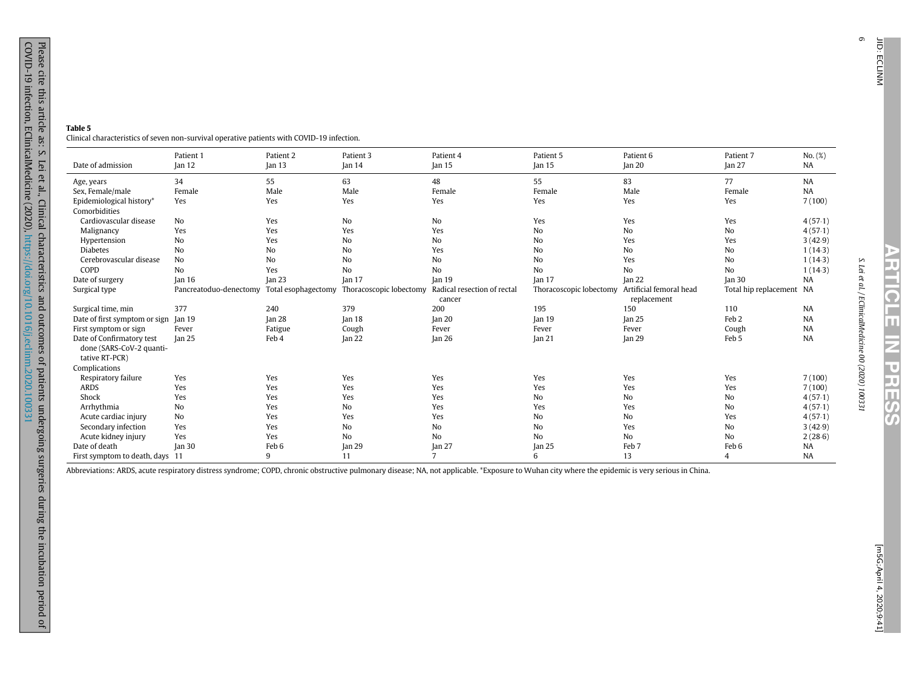6

### <span id="page-5-0"></span>Table 5

Clinical characteristics of seven non-survival operative patients with COVID-19 infection.

|                                                                         | Patient 1              | Patient 2           | Patient 3               | Patient 4                             | Patient 5               | Patient 6                              | Patient 7                | No. (%)   |
|-------------------------------------------------------------------------|------------------------|---------------------|-------------------------|---------------------------------------|-------------------------|----------------------------------------|--------------------------|-----------|
| Date of admission                                                       | Jan 12                 | [an 13]             | Jan <sub>14</sub>       | Jan <sub>15</sub>                     | Jan <sub>15</sub>       | Jan <sub>20</sub>                      | lan <sub>27</sub>        | NA        |
| Age, years                                                              | 34                     | 55                  | 63                      | 48                                    | 55                      | 83                                     | 77                       | <b>NA</b> |
| Sex, Female/male                                                        | Female                 | Male                | Male                    | Female                                | Female                  | Male                                   | Female                   | NA        |
| Epidemiological history*<br>Comorbidities                               | Yes                    | Yes                 | Yes                     | Yes                                   | Yes                     | Yes                                    | Yes                      | 7(100)    |
| Cardiovascular disease                                                  | No                     | Yes                 | No                      | No                                    | Yes                     | Yes                                    | Yes                      | 4(57.1)   |
| Malignancy                                                              | Yes                    | Yes                 | Yes                     | Yes                                   | N <sub>o</sub>          | No                                     | No                       | 4(57.1)   |
| Hypertension                                                            | No                     | Yes                 | N <sub>o</sub>          | No                                    | N <sub>o</sub>          | Yes                                    | Yes                      | 3(42.9)   |
| <b>Diabetes</b>                                                         | N <sub>o</sub>         | N <sub>o</sub>      | N <sub>o</sub>          | Yes                                   | N <sub>o</sub>          | No                                     | No                       | 1(14.3)   |
| Cerebrovascular disease                                                 | N <sub>o</sub>         | No                  | N <sub>o</sub>          | N <sub>o</sub>                        | N <sub>o</sub>          | Yes                                    | N <sub>o</sub>           | 1(14.3)   |
| COPD                                                                    | N <sub>o</sub>         | Yes                 | No                      | No                                    | N <sub>o</sub>          | No                                     | N <sub>o</sub>           | 1(14.3)   |
| Date of surgery                                                         | Jan <sub>16</sub>      | Jan <sub>23</sub>   | Jan <sub>17</sub>       | Jan <sub>19</sub>                     | Jan <sub>17</sub>       | lan <sub>22</sub>                      | Jan <sub>30</sub>        | <b>NA</b> |
| Surgical type                                                           | Pancreatoduo-denectomy | Total esophagectomy | Thoracoscopic lobectomy | Radical resection of rectal<br>cancer | Thoracoscopic lobectomy | Artificial femoral head<br>replacement | Total hip replacement NA |           |
| Surgical time, min                                                      | 377                    | 240                 | 379                     | 200                                   | 195                     | 150                                    | 110                      | NA        |
| Date of first symptom or sign                                           | Jan <sub>19</sub>      | Jan 28              | Jan <sub>18</sub>       | Jan <sub>20</sub>                     | Jan <sub>19</sub>       | $\tan 25$                              | Feb <sub>2</sub>         | <b>NA</b> |
| First symptom or sign                                                   | Fever                  | Fatigue             | Cough                   | Fever                                 | Fever                   | Fever                                  | Cough                    | <b>NA</b> |
| Date of Confirmatory test<br>done (SARS-CoV-2 quanti-<br>tative RT-PCR) | Jan 25                 | Feb 4               | Jan <sub>22</sub>       | Jan $26$                              | Jan <sub>21</sub>       | <b>Jan 29</b>                          | Feb 5                    | <b>NA</b> |
| Complications                                                           |                        |                     |                         |                                       |                         |                                        |                          |           |
| Respiratory failure                                                     | Yes                    | Yes                 | Yes                     | Yes                                   | Yes                     | Yes                                    | Yes                      | 7(100)    |
| <b>ARDS</b>                                                             | Yes                    | Yes                 | Yes                     | Yes                                   | Yes                     | Yes                                    | Yes                      | 7(100)    |
| Shock                                                                   | Yes                    | Yes                 | Yes                     | Yes                                   | N <sub>o</sub>          | No                                     | No                       | 4(57.1)   |
| Arrhythmia                                                              | N <sub>o</sub>         | Yes                 | No                      | Yes                                   | Yes                     | Yes                                    | N <sub>o</sub>           | 4(57.1)   |
| Acute cardiac injury                                                    | No                     | Yes                 | Yes                     | Yes                                   | N <sub>o</sub>          | No                                     | Yes                      | 4(57.1)   |
| Secondary infection                                                     | Yes                    | Yes                 | No                      | No                                    | No                      | Yes                                    | No                       | 3(42.9)   |
| Acute kidney injury                                                     | Yes                    | Yes                 | No                      | N <sub>o</sub>                        | N <sub>o</sub>          | No                                     | N <sub>o</sub>           | 2(28.6)   |
| Date of death                                                           | Jan <sub>30</sub>      | Feb <sub>6</sub>    | Jan 29                  | Jan 27                                | Jan <sub>25</sub>       | Feb 7                                  | Feb 6                    | <b>NA</b> |
| First symptom to death, days 11                                         |                        | 9                   | 11                      | $\overline{7}$                        | 6                       | 13                                     | 4                        | <b>NA</b> |

Abbreviations: ARDS, acute respiratory distress syndrome; COPD, chronic obstructive pulmonary disease; NA, not applicable. \*Exposure to Wuhan city where the epidemic is very serious in China.

ARTICLE IN PRESS

**ARTICLE IN PRESSS**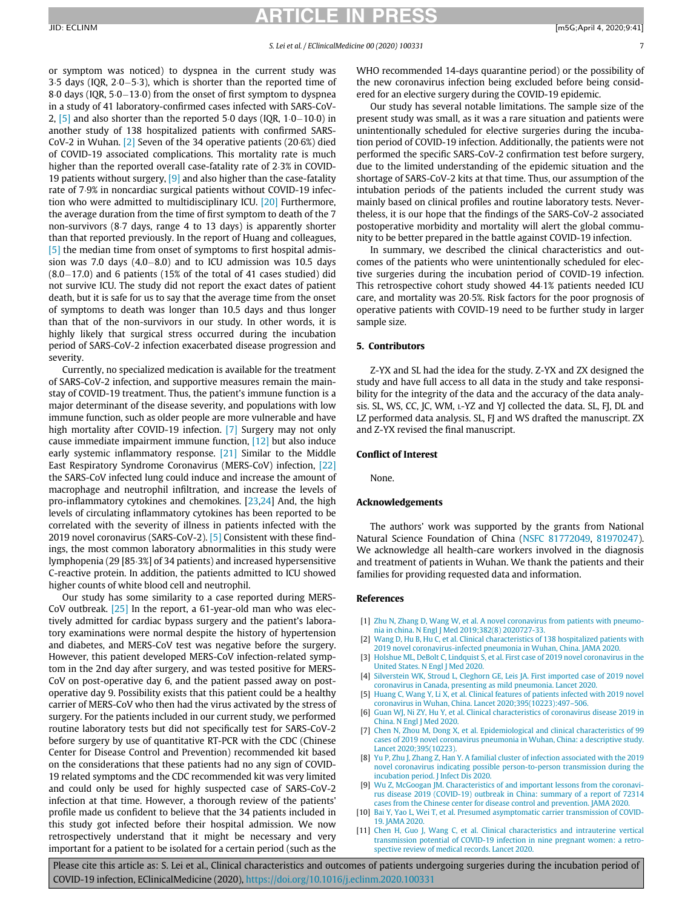or symptom was noticed) to dyspnea in the current study was 3.5 days (IQR,  $2.0-5.3$ ), which is shorter than the reported time of 8 $\cdot$ 0 days (IQR, 5 $\cdot$ 0 $-13\cdot$ 0) from the onset of first symptom to dyspnea in a study of 41 laboratory-confirmed cases infected with SARS-CoV-2,  $\left[5\right]$  and also shorter than the reported 5 $\cdot$ 0 days (IQR, 1 $\cdot$ 0-10 $\cdot$ 0) in another study of 138 hospitalized patients with confirmed SARS-CoV-2 in Wuhan.  $[2]$  Seven of the 34 operative patients (20 $6\%$ ) died of COVID-19 associated complications. This mortality rate is much higher than the reported overall case-fatality rate of 2.3% in COVID-19 patients without surgery,  $[9]$  and also higher than the case-fatality rate of 7.9% in noncardiac surgical patients without COVID-19 infection who were admitted to multidisciplinary ICU. [\[20\]](#page-7-8) Furthermore, the average duration from the time of first symptom to death of the 7 non-survivors (8.7 days, range 4 to 13 days) is apparently shorter than that reported previously. In the report of Huang and colleagues, [\[5\]](#page-6-4) the median time from onset of symptoms to first hospital admission was 7.0 days  $(4.0-8.0)$  and to ICU admission was 10.5 days  $(8.0-17.0)$  and 6 patients (15% of the total of 41 cases studied) did not survive ICU. The study did not report the exact dates of patient death, but it is safe for us to say that the average time from the onset of symptoms to death was longer than 10.5 days and thus longer than that of the non-survivors in our study. In other words, it is highly likely that surgical stress occurred during the incubation period of SARS-CoV-2 infection exacerbated disease progression and severity.

Currently, no specialized medication is available for the treatment of SARS-CoV-2 infection, and supportive measures remain the mainstay of COVID-19 treatment. Thus, the patient's immune function is a major determinant of the disease severity, and populations with low immune function, such as older people are more vulnerable and have high mortality after COVID-19 infection. [\[7\]](#page-6-10) Surgery may not only cause immediate impairment immune function, [\[12\]](#page-7-0) but also induce early systemic inflammatory response. [\[21\]](#page-7-9) Similar to the Middle East Respiratory Syndrome Coronavirus (MERS-CoV) infection, [\[22\]](#page-7-10) the SARS-CoV infected lung could induce and increase the amount of macrophage and neutrophil infiltration, and increase the levels of pro-inflammatory cytokines and chemokines. [[23,](#page-7-11)[24\]](#page-7-12) And, the high levels of circulating inflammatory cytokines has been reported to be correlated with the severity of illness in patients infected with the 2019 novel coronavirus (SARS-CoV-2). [\[5\]](#page-6-4) Consistent with these findings, the most common laboratory abnormalities in this study were lymphopenia (29 [85.3%] of 34 patients) and increased hypersensitive C-reactive protein. In addition, the patients admitted to ICU showed higher counts of white blood cell and neutrophil.

<span id="page-6-11"></span><span id="page-6-10"></span><span id="page-6-9"></span><span id="page-6-8"></span><span id="page-6-7"></span><span id="page-6-6"></span><span id="page-6-5"></span><span id="page-6-4"></span><span id="page-6-3"></span><span id="page-6-2"></span><span id="page-6-1"></span><span id="page-6-0"></span>Our study has some similarity to a case reported during MERS-CoV outbreak.  $[25]$  In the report, a 61-year-old man who was electively admitted for cardiac bypass surgery and the patient's laboratory examinations were normal despite the history of hypertension and diabetes, and MERS-CoV test was negative before the surgery. However, this patient developed MERS-CoV infection-related symptom in the 2nd day after surgery, and was tested positive for MERS-CoV on post-operative day 6, and the patient passed away on postoperative day 9. Possibility exists that this patient could be a healthy carrier of MERS-CoV who then had the virus activated by the stress of surgery. For the patients included in our current study, we performed routine laboratory tests but did not specifically test for SARS-CoV-2 before surgery by use of quantitative RT-PCR with the CDC (Chinese Center for Disease Control and Prevention) recommended kit based on the considerations that these patients had no any sign of COVID-19 related symptoms and the CDC recommended kit was very limited and could only be used for highly suspected case of SARS-CoV-2 infection at that time. However, a thorough review of the patients' profile made us confident to believe that the 34 patients included in this study got infected before their hospital admission. We now retrospectively understand that it might be necessary and very important for a patient to be isolated for a certain period (such as the WHO recommended 14-days quarantine period) or the possibility of the new coronavirus infection being excluded before being considered for an elective surgery during the COVID-19 epidemic.

Our study has several notable limitations. The sample size of the present study was small, as it was a rare situation and patients were unintentionally scheduled for elective surgeries during the incubation period of COVID-19 infection. Additionally, the patients were not performed the specific SARS-CoV-2 confirmation test before surgery, due to the limited understanding of the epidemic situation and the shortage of SARS-CoV-2 kits at that time. Thus, our assumption of the intubation periods of the patients included the current study was mainly based on clinical profiles and routine laboratory tests. Nevertheless, it is our hope that the findings of the SARS-CoV-2 associated postoperative morbidity and mortality will alert the global community to be better prepared in the battle against COVID-19 infection.

In summary, we described the clinical characteristics and outcomes of the patients who were unintentionally scheduled for elective surgeries during the incubation period of COVID-19 infection. This retrospective cohort study showed 44.1% patients needed ICU care, and mortality was 20.5%. Risk factors for the poor prognosis of operative patients with COVID-19 need to be further study in larger sample size.

### 5. Contributors

Z-YX and SL had the idea for the study. Z-YX and ZX designed the study and have full access to all data in the study and take responsibility for the integrity of the data and the accuracy of the data analysis. SL, WS, CC, JC, WM, L-YZ and YJ collected the data. SL, FJ, DL and LZ performed data analysis. SL, FJ and WS drafted the manuscript. ZX and Z-YX revised the final manuscript.

### Conflict of Interest

None.

### Acknowledgements

The authors' work was supported by the grants from National Natural Science Foundation of China ([NSFC 81772049,](#page-6-11) [81970247\)](#page-6-11). We acknowledge all health-care workers involved in the diagnosis and treatment of patients in Wuhan. We thank the patients and their families for providing requested data and information.

#### References

- [1] [Zhu N, Zhang D, Wang W, et al. A novel coronavirus from patients with pneumo](http://refhub.elsevier.com/S2589-5370(20)30075-4/sbref0001)[nia in china. N Engl J Med 2019;382\(8\) 2020727-33.](http://refhub.elsevier.com/S2589-5370(20)30075-4/sbref0001)
- [2] [Wang D, Hu B, Hu C, et al. Clinical characteristics of 138 hospitalized patients with](http://refhub.elsevier.com/S2589-5370(20)30075-4/sbref0002) [2019 novel coronavirus-infected pneumonia in Wuhan, China. JAMA 2020.](http://refhub.elsevier.com/S2589-5370(20)30075-4/sbref0002)
- [3] [Holshue ML, DeBolt C, Lindquist S, et al. First case of 2019 novel coronavirus in the](http://refhub.elsevier.com/S2589-5370(20)30075-4/sbref0003) [United States. N Engl J Med 2020.](http://refhub.elsevier.com/S2589-5370(20)30075-4/sbref0003)
- [4] [Silverstein WK, Stroud L, Cleghorn GE, Leis JA. First imported case of 2019 novel](http://refhub.elsevier.com/S2589-5370(20)30075-4/sbref0004) [coronavirus in Canada, presenting as mild pneumonia. Lancet 2020.](http://refhub.elsevier.com/S2589-5370(20)30075-4/sbref0004)
- [5] [Huang C, Wang Y, Li X, et al. Clinical features of patients infected with 2019 novel](http://refhub.elsevier.com/S2589-5370(20)30075-4/sbref0005) [coronavirus in Wuhan, China. Lancet 2020;395\(10223\):497](http://refhub.elsevier.com/S2589-5370(20)30075-4/sbref0005)–506.
- [6] [Guan WJ, Ni ZY, Hu Y, et al. Clinical characteristics of coronavirus disease 2019 in](http://refhub.elsevier.com/S2589-5370(20)30075-4/sbref0006) [China. N Engl J Med 2020.](http://refhub.elsevier.com/S2589-5370(20)30075-4/sbref0006)
- [7] [Chen N, Zhou M, Dong X, et al. Epidemiological and clinical characteristics of 99](http://refhub.elsevier.com/S2589-5370(20)30075-4/sbref0007) [cases of 2019 novel coronavirus pneumonia in Wuhan, China: a descriptive study.](http://refhub.elsevier.com/S2589-5370(20)30075-4/sbref0007) [Lancet 2020;395\(10223\).](http://refhub.elsevier.com/S2589-5370(20)30075-4/sbref0007)
- [8] [Yu P, Zhu J, Zhang Z, Han Y. A familial cluster of infection associated with the 2019](http://refhub.elsevier.com/S2589-5370(20)30075-4/sbref0008) [novel coronavirus indicating possible person-to-person transmission during the](http://refhub.elsevier.com/S2589-5370(20)30075-4/sbref0008) [incubation period. J Infect Dis 2020.](http://refhub.elsevier.com/S2589-5370(20)30075-4/sbref0008)
- [9] [Wu Z, McGoogan JM. Characteristics of and important lessons from the coronavi](http://refhub.elsevier.com/S2589-5370(20)30075-4/sbref0009)[rus disease 2019 \(COVID-19\) outbreak in China: summary of a report of 72314](http://refhub.elsevier.com/S2589-5370(20)30075-4/sbref0009) [cases from the Chinese center for disease control and prevention. JAMA 2020.](http://refhub.elsevier.com/S2589-5370(20)30075-4/sbref0009)
- [10] [Bai Y, Yao L, Wei T, et al. Presumed asymptomatic carrier transmission of COVID-](http://refhub.elsevier.com/S2589-5370(20)30075-4/sbref0010)[19. JAMA 2020.](http://refhub.elsevier.com/S2589-5370(20)30075-4/sbref0010)
- [11] [Chen H, Guo J, Wang C, et al. Clinical characteristics and intrauterine vertical](http://refhub.elsevier.com/S2589-5370(20)30075-4/sbref0011) [transmission potential of COVID-19 infection in nine pregnant women: a retro](http://refhub.elsevier.com/S2589-5370(20)30075-4/sbref0011)[spective review of medical records. Lancet 2020.](http://refhub.elsevier.com/S2589-5370(20)30075-4/sbref0011)